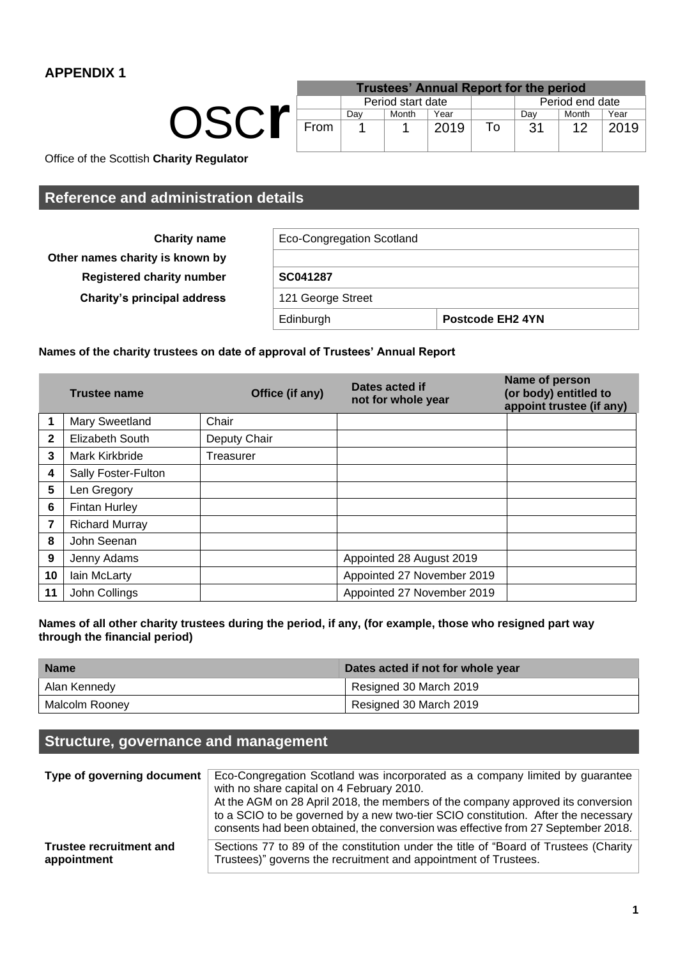OSC**r**

|      |     |                   | <b>Trustees' Annual Report for the period</b> |    |     |                 |      |
|------|-----|-------------------|-----------------------------------------------|----|-----|-----------------|------|
|      |     | Period start date |                                               |    |     | Period end date |      |
|      | Dav | Month             | Year                                          |    | Dav | Month           | Year |
| From |     |                   | 2019                                          | To | .31 | 12              | 2019 |

Office of the Scottish **Charity Regulator**

# **Reference and administration details**

| <b>Charity name</b><br>Other names charity is known by | <b>Eco-Congregation Scotland</b> |                              |  |  |
|--------------------------------------------------------|----------------------------------|------------------------------|--|--|
| <b>Registered charity number</b>                       | SC041287                         |                              |  |  |
| <b>Charity's principal address</b>                     | 121 George Street                |                              |  |  |
|                                                        | Edinburgh                        | Postcode EH <sub>2</sub> 4YN |  |  |

## **Names of the charity trustees on date of approval of Trustees' Annual Report**

|              | Office (if any)<br><b>Trustee name</b> |              | Dates acted if<br>not for whole year | Name of person<br>(or body) entitled to<br>appoint trustee (if any) |
|--------------|----------------------------------------|--------------|--------------------------------------|---------------------------------------------------------------------|
|              | Mary Sweetland                         | Chair        |                                      |                                                                     |
| $\mathbf{2}$ | <b>Elizabeth South</b>                 | Deputy Chair |                                      |                                                                     |
| 3            | Mark Kirkbride                         | Treasurer    |                                      |                                                                     |
| 4            | Sally Foster-Fulton                    |              |                                      |                                                                     |
| 5            | Len Gregory                            |              |                                      |                                                                     |
| 6            | <b>Fintan Hurley</b>                   |              |                                      |                                                                     |
| 7            | <b>Richard Murray</b>                  |              |                                      |                                                                     |
| 8            | John Seenan                            |              |                                      |                                                                     |
| 9            | Jenny Adams                            |              | Appointed 28 August 2019             |                                                                     |
| 10           | Iain McLarty                           |              | Appointed 27 November 2019           |                                                                     |
| 11           | John Collings                          |              | Appointed 27 November 2019           |                                                                     |

## **Names of all other charity trustees during the period, if any, (for example, those who resigned part way through the financial period)**

| <b>Name</b>    | Dates acted if not for whole year |  |  |
|----------------|-----------------------------------|--|--|
| Alan Kennedy   | Resigned 30 March 2019            |  |  |
| Malcolm Rooney | Resigned 30 March 2019            |  |  |

# **Structure, governance and management**

| Type of governing document     | Eco-Congregation Scotland was incorporated as a company limited by guarantee<br>with no share capital on 4 February 2010.<br>At the AGM on 28 April 2018, the members of the company approved its conversion<br>to a SCIO to be governed by a new two-tier SCIO constitution. After the necessary<br>consents had been obtained, the conversion was effective from 27 September 2018. |
|--------------------------------|---------------------------------------------------------------------------------------------------------------------------------------------------------------------------------------------------------------------------------------------------------------------------------------------------------------------------------------------------------------------------------------|
| <b>Trustee recruitment and</b> | Sections 77 to 89 of the constitution under the title of "Board of Trustees (Charity                                                                                                                                                                                                                                                                                                  |
| appointment                    | Trustees)" governs the recruitment and appointment of Trustees.                                                                                                                                                                                                                                                                                                                       |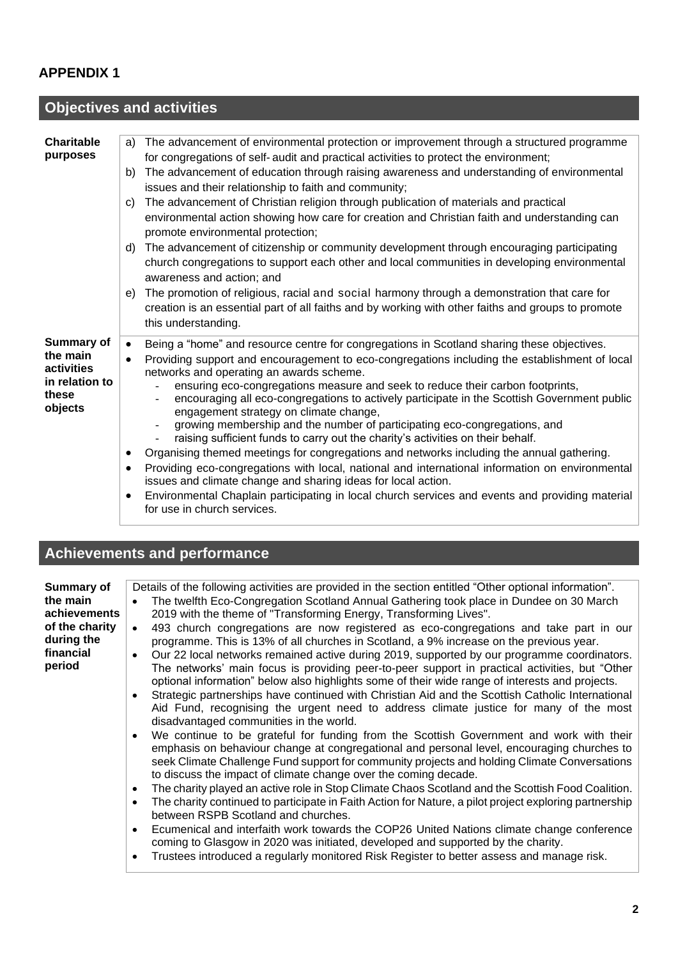#### **Objectives and activities Charitable purposes** a) The advancement of environmental protection or improvement through a structured programme for congregations of self- audit and practical activities to protect the environment; b) The advancement of education through raising awareness and understanding of environmental issues and their relationship to faith and community; c) The advancement of Christian religion through publication of materials and practical environmental action showing how care for creation and Christian faith and understanding can promote environmental protection; d) The advancement of citizenship or community development through encouraging participating church congregations to support each other and local communities in developing environmental awareness and action; and e) The promotion of religious, racial and social harmony through a demonstration that care for creation is an essential part of all faiths and by working with other faiths and groups to promote this understanding. **Summary of the main activities in relation to these objects** • Being a "home" and resource centre for congregations in Scotland sharing these objectives. • Providing support and encouragement to eco-congregations including the establishment of local networks and operating an awards scheme. - ensuring eco-congregations measure and seek to reduce their carbon footprints, - encouraging all eco-congregations to actively participate in the Scottish Government public engagement strategy on climate change, - growing membership and the number of participating eco-congregations, and raising sufficient funds to carry out the charity's activities on their behalf. • Organising themed meetings for congregations and networks including the annual gathering. • Providing eco-congregations with local, national and international information on environmental issues and climate change and sharing ideas for local action. • Environmental Chaplain participating in local church services and events and providing material for use in church services.

# **Achievements and performance**

| <b>Summary of</b>            | Details of the following activities are provided in the section entitled "Other optional information".                                                                                                                                                                                                                                                                |
|------------------------------|-----------------------------------------------------------------------------------------------------------------------------------------------------------------------------------------------------------------------------------------------------------------------------------------------------------------------------------------------------------------------|
| the main                     | The twelfth Eco-Congregation Scotland Annual Gathering took place in Dundee on 30 March<br>$\bullet$                                                                                                                                                                                                                                                                  |
| achievements                 | 2019 with the theme of "Transforming Energy, Transforming Lives".                                                                                                                                                                                                                                                                                                     |
| of the charity<br>during the | 493 church congregations are now registered as eco-congregations and take part in our<br>$\bullet$<br>programme. This is 13% of all churches in Scotland, a 9% increase on the previous year.                                                                                                                                                                         |
| financial<br>period          | Our 22 local networks remained active during 2019, supported by our programme coordinators.<br>$\bullet$<br>The networks' main focus is providing peer-to-peer support in practical activities, but "Other<br>optional information" below also highlights some of their wide range of interests and projects.                                                         |
|                              | Strategic partnerships have continued with Christian Aid and the Scottish Catholic International<br>Aid Fund, recognising the urgent need to address climate justice for many of the most<br>disadvantaged communities in the world.                                                                                                                                  |
|                              | We continue to be grateful for funding from the Scottish Government and work with their<br>$\bullet$<br>emphasis on behaviour change at congregational and personal level, encouraging churches to<br>seek Climate Challenge Fund support for community projects and holding Climate Conversations<br>to discuss the impact of climate change over the coming decade. |
|                              | The charity played an active role in Stop Climate Chaos Scotland and the Scottish Food Coalition.<br>$\bullet$                                                                                                                                                                                                                                                        |
|                              | The charity continued to participate in Faith Action for Nature, a pilot project exploring partnership<br>$\bullet$<br>between RSPB Scotland and churches.                                                                                                                                                                                                            |
|                              | Ecumenical and interfaith work towards the COP26 United Nations climate change conference<br>$\bullet$<br>coming to Glasgow in 2020 was initiated, developed and supported by the charity.                                                                                                                                                                            |
|                              | Trustees introduced a regularly monitored Risk Register to better assess and manage risk.                                                                                                                                                                                                                                                                             |

• Trustees introduced a regularly monitored Risk Register to better assess and manage risk.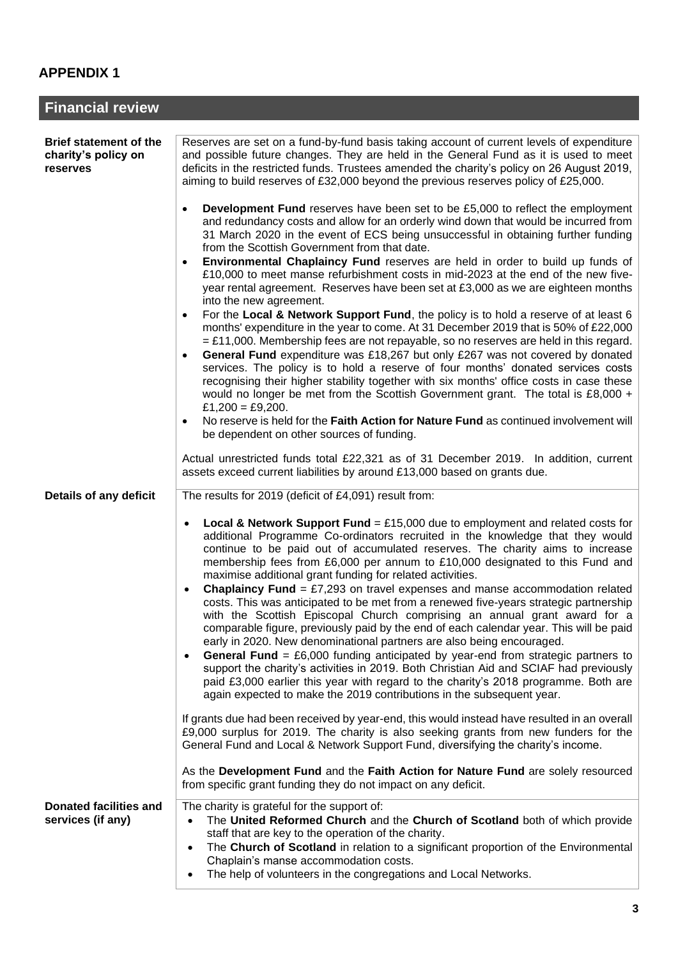| <b>Financial review</b>                                          |                                                                                                                                                                                                                                                                                                                                                                                                                                                                                                                                                                                                                                                                                                                                                     |  |  |  |  |
|------------------------------------------------------------------|-----------------------------------------------------------------------------------------------------------------------------------------------------------------------------------------------------------------------------------------------------------------------------------------------------------------------------------------------------------------------------------------------------------------------------------------------------------------------------------------------------------------------------------------------------------------------------------------------------------------------------------------------------------------------------------------------------------------------------------------------------|--|--|--|--|
|                                                                  |                                                                                                                                                                                                                                                                                                                                                                                                                                                                                                                                                                                                                                                                                                                                                     |  |  |  |  |
| <b>Brief statement of the</b><br>charity's policy on<br>reserves | Reserves are set on a fund-by-fund basis taking account of current levels of expenditure<br>and possible future changes. They are held in the General Fund as it is used to meet<br>deficits in the restricted funds. Trustees amended the charity's policy on 26 August 2019,<br>aiming to build reserves of £32,000 beyond the previous reserves policy of £25,000.<br><b>Development Fund</b> reserves have been set to be £5,000 to reflect the employment<br>$\bullet$<br>and redundancy costs and allow for an orderly wind down that would be incurred from<br>31 March 2020 in the event of ECS being unsuccessful in obtaining further funding                                                                                             |  |  |  |  |
|                                                                  | from the Scottish Government from that date.<br>Environmental Chaplaincy Fund reserves are held in order to build up funds of<br>$\bullet$<br>£10,000 to meet manse refurbishment costs in mid-2023 at the end of the new five-<br>year rental agreement. Reserves have been set at £3,000 as we are eighteen months<br>into the new agreement.                                                                                                                                                                                                                                                                                                                                                                                                     |  |  |  |  |
|                                                                  | For the Local & Network Support Fund, the policy is to hold a reserve of at least 6<br>$\bullet$<br>months' expenditure in the year to come. At 31 December 2019 that is 50% of £22,000<br>$=$ £11,000. Membership fees are not repayable, so no reserves are held in this regard.<br>General Fund expenditure was £18,267 but only £267 was not covered by donated<br>services. The policy is to hold a reserve of four months' donated services costs<br>recognising their higher stability together with six months' office costs in case these<br>would no longer be met from the Scottish Government grant. The total is £8,000 +<br>£1,200 = £9,200.<br>No reserve is held for the Faith Action for Nature Fund as continued involvement will |  |  |  |  |
|                                                                  | be dependent on other sources of funding.                                                                                                                                                                                                                                                                                                                                                                                                                                                                                                                                                                                                                                                                                                           |  |  |  |  |
|                                                                  | Actual unrestricted funds total £22,321 as of 31 December 2019. In addition, current<br>assets exceed current liabilities by around £13,000 based on grants due.                                                                                                                                                                                                                                                                                                                                                                                                                                                                                                                                                                                    |  |  |  |  |
| Details of any deficit                                           | The results for 2019 (deficit of £4,091) result from:                                                                                                                                                                                                                                                                                                                                                                                                                                                                                                                                                                                                                                                                                               |  |  |  |  |
|                                                                  | <b>Local &amp; Network Support Fund</b> = £15,000 due to employment and related costs for<br>$\bullet$<br>additional Programme Co-ordinators recruited in the knowledge that they would<br>continue to be paid out of accumulated reserves. The charity aims to increase<br>membership fees from £6,000 per annum to £10,000 designated to this Fund and<br>maximise additional grant funding for related activities.<br><b>Chaplaincy Fund</b> = £7,293 on travel expenses and manse accommodation related<br>$\bullet$                                                                                                                                                                                                                            |  |  |  |  |
|                                                                  | costs. This was anticipated to be met from a renewed five-years strategic partnership<br>with the Scottish Episcopal Church comprising an annual grant award for a<br>comparable figure, previously paid by the end of each calendar year. This will be paid<br>early in 2020. New denominational partners are also being encouraged.<br><b>General Fund</b> = £6,000 funding anticipated by year-end from strategic partners to<br>$\bullet$<br>support the charity's activities in 2019. Both Christian Aid and SCIAF had previously<br>paid £3,000 earlier this year with regard to the charity's 2018 programme. Both are<br>again expected to make the 2019 contributions in the subsequent year.                                              |  |  |  |  |
|                                                                  | If grants due had been received by year-end, this would instead have resulted in an overall<br>£9,000 surplus for 2019. The charity is also seeking grants from new funders for the<br>General Fund and Local & Network Support Fund, diversifying the charity's income.                                                                                                                                                                                                                                                                                                                                                                                                                                                                            |  |  |  |  |
|                                                                  | As the Development Fund and the Faith Action for Nature Fund are solely resourced<br>from specific grant funding they do not impact on any deficit.                                                                                                                                                                                                                                                                                                                                                                                                                                                                                                                                                                                                 |  |  |  |  |
| <b>Donated facilities and</b><br>services (if any)               | The charity is grateful for the support of:<br>The United Reformed Church and the Church of Scotland both of which provide<br>$\bullet$<br>staff that are key to the operation of the charity.<br>The Church of Scotland in relation to a significant proportion of the Environmental<br>$\bullet$<br>Chaplain's manse accommodation costs.<br>The help of volunteers in the congregations and Local Networks.<br>$\bullet$                                                                                                                                                                                                                                                                                                                         |  |  |  |  |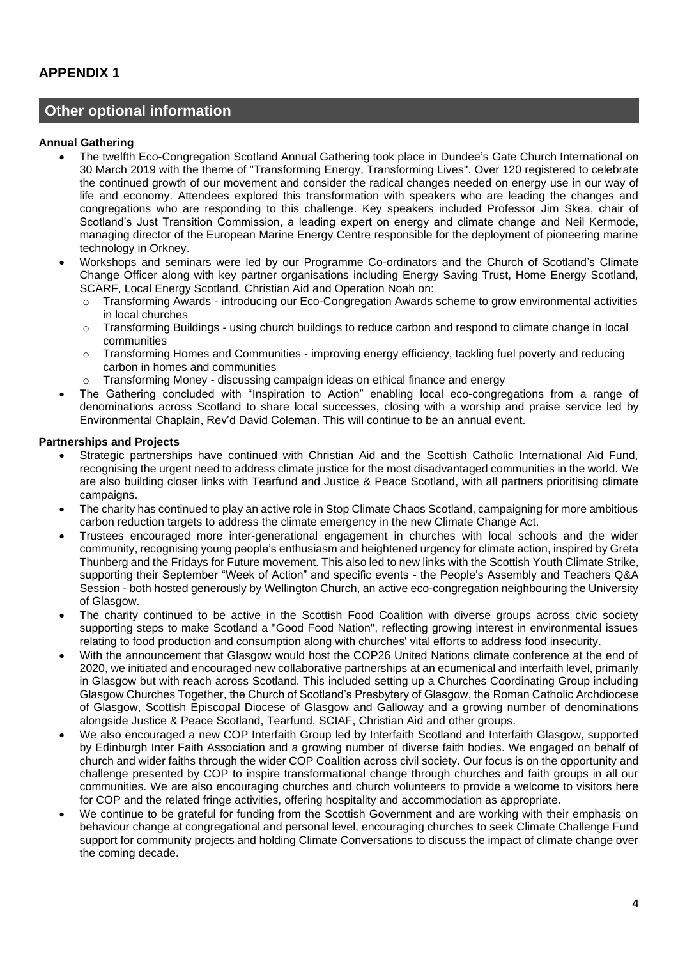## **Other optional information**

### **Annual Gathering**

- The twelfth Eco-Congregation Scotland Annual Gathering took place in Dundee's Gate Church International on 30 March 2019 with the theme of "Transforming Energy, Transforming Lives". Over 120 registered to celebrate the continued growth of our movement and consider the radical changes needed on energy use in our way of life and economy. Attendees explored this transformation with speakers who are leading the changes and congregations who are responding to this challenge. Key speakers included Professor Jim Skea, chair of Scotland's Just Transition Commission, a leading expert on energy and climate change and Neil Kermode, managing director of the European Marine Energy Centre responsible for the deployment of pioneering marine technology in Orkney.
- Workshops and seminars were led by our Programme Co-ordinators and the Church of Scotland's Climate Change Officer along with key partner organisations including Energy Saving Trust, Home Energy Scotland, SCARF, Local Energy Scotland, Christian Aid and Operation Noah on:
	- o Transforming Awards introducing our Eco-Congregation Awards scheme to grow environmental activities in local churches
	- o Transforming Buildings using church buildings to reduce carbon and respond to climate change in local communities
	- o Transforming Homes and Communities improving energy efficiency, tackling fuel poverty and reducing carbon in homes and communities
	- o Transforming Money discussing campaign ideas on ethical finance and energy
- The Gathering concluded with "Inspiration to Action" enabling local eco-congregations from a range of denominations across Scotland to share local successes, closing with a worship and praise service led by Environmental Chaplain, Rev'd David Coleman. This will continue to be an annual event.

## **Partnerships and Projects**

- Strategic partnerships have continued with Christian Aid and the Scottish Catholic International Aid Fund, recognising the urgent need to address climate justice for the most disadvantaged communities in the world. We are also building closer links with Tearfund and Justice & Peace Scotland, with all partners prioritising climate campaigns.
- The charity has continued to play an active role in Stop Climate Chaos Scotland, campaigning for more ambitious carbon reduction targets to address the climate emergency in the new Climate Change Act.
- Trustees encouraged more inter-generational engagement in churches with local schools and the wider community, recognising young people's enthusiasm and heightened urgency for climate action, inspired by Greta Thunberg and the Fridays for Future movement. This also led to new links with the Scottish Youth Climate Strike, supporting their September "Week of Action" and specific events - the People's Assembly and Teachers Q&A Session - both hosted generously by Wellington Church, an active eco-congregation neighbouring the University of Glasgow.
- The charity continued to be active in the Scottish Food Coalition with diverse groups across civic society supporting steps to make Scotland a "Good Food Nation", reflecting growing interest in environmental issues relating to food production and consumption along with churches' vital efforts to address food insecurity.
- With the announcement that Glasgow would host the COP26 United Nations climate conference at the end of 2020, we initiated and encouraged new collaborative partnerships at an ecumenical and interfaith level, primarily in Glasgow but with reach across Scotland. This included setting up a Churches Coordinating Group including Glasgow Churches Together, the Church of Scotland's Presbytery of Glasgow, the Roman Catholic Archdiocese of Glasgow, Scottish Episcopal Diocese of Glasgow and Galloway and a growing number of denominations alongside Justice & Peace Scotland, Tearfund, SCIAF, Christian Aid and other groups.
- We also encouraged a new COP Interfaith Group led by Interfaith Scotland and Interfaith Glasgow, supported by Edinburgh Inter Faith Association and a growing number of diverse faith bodies. We engaged on behalf of church and wider faiths through the wider COP Coalition across civil society. Our focus is on the opportunity and challenge presented by COP to inspire transformational change through churches and faith groups in all our communities. We are also encouraging churches and church volunteers to provide a welcome to visitors here for COP and the related fringe activities, offering hospitality and accommodation as appropriate.
- We continue to be grateful for funding from the Scottish Government and are working with their emphasis on behaviour change at congregational and personal level, encouraging churches to seek Climate Challenge Fund support for community projects and holding Climate Conversations to discuss the impact of climate change over the coming decade.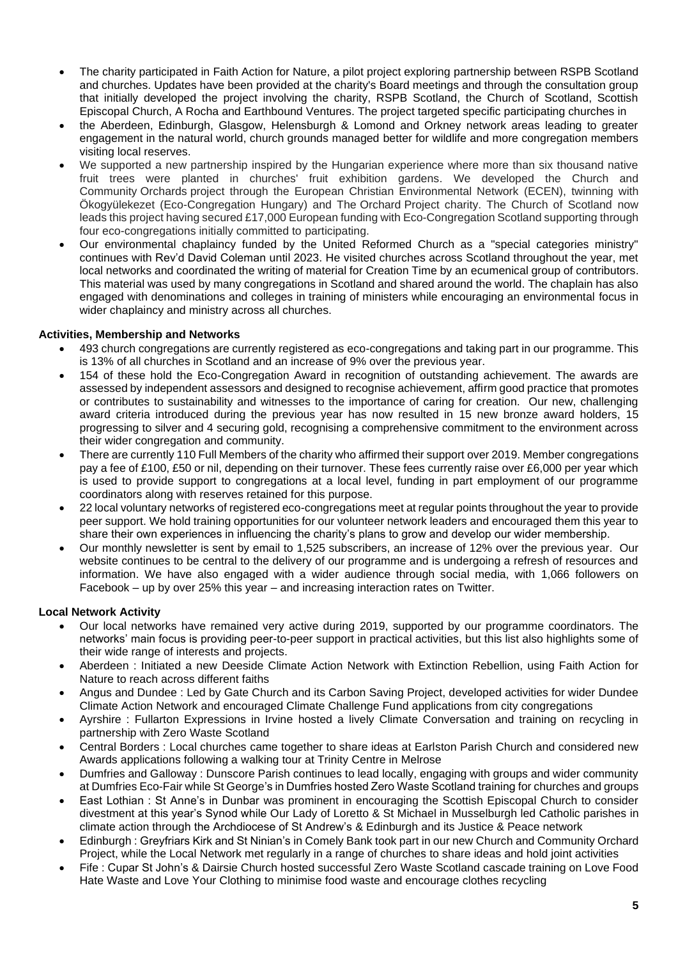- The charity participated in Faith Action for Nature, a pilot project exploring partnership between RSPB Scotland and churches. Updates have been provided at the charity's Board meetings and through the consultation group that initially developed the project involving the charity, RSPB Scotland, the Church of Scotland, Scottish Episcopal Church, A Rocha and Earthbound Ventures. The project targeted specific participating churches in
- the Aberdeen, Edinburgh, Glasgow, Helensburgh & Lomond and Orkney network areas leading to greater engagement in the natural world, church grounds managed better for wildlife and more congregation members visiting local reserves.
- We supported a new partnership inspired by the Hungarian experience where more than six thousand native fruit trees were planted in churches' fruit exhibition gardens. We developed the Church and Community Orchards project through the European Christian Environmental Network (ECEN), twinning with Ökogyülekezet (Eco-Congregation Hungary) and The Orchard Project charity. The Church of Scotland now leads this project having secured £17,000 European funding with Eco-Congregation Scotland supporting through four eco-congregations initially committed to participating.
- Our environmental chaplaincy funded by the United Reformed Church as a "special categories ministry" continues with Rev'd David Coleman until 2023. He visited churches across Scotland throughout the year, met local networks and coordinated the writing of material for Creation Time by an ecumenical group of contributors. This material was used by many congregations in Scotland and shared around the world. The chaplain has also engaged with denominations and colleges in training of ministers while encouraging an environmental focus in wider chaplaincy and ministry across all churches.

## **Activities, Membership and Networks**

- 493 church congregations are currently registered as eco-congregations and taking part in our programme. This is 13% of all churches in Scotland and an increase of 9% over the previous year.
- 154 of these hold the Eco-Congregation Award in recognition of outstanding achievement. The awards are assessed by independent assessors and designed to recognise achievement, affirm good practice that promotes or contributes to sustainability and witnesses to the importance of caring for creation. Our new, challenging award criteria introduced during the previous year has now resulted in 15 new bronze award holders, 15 progressing to silver and 4 securing gold, recognising a comprehensive commitment to the environment across their wider congregation and community.
- There are currently 110 Full Members of the charity who affirmed their support over 2019. Member congregations pay a fee of £100, £50 or nil, depending on their turnover. These fees currently raise over £6,000 per year which is used to provide support to congregations at a local level, funding in part employment of our programme coordinators along with reserves retained for this purpose.
- 22 local voluntary networks of registered eco-congregations meet at regular points throughout the year to provide peer support. We hold training opportunities for our volunteer network leaders and encouraged them this year to share their own experiences in influencing the charity's plans to grow and develop our wider membership.
- Our monthly newsletter is sent by email to 1,525 subscribers, an increase of 12% over the previous year. Our website continues to be central to the delivery of our programme and is undergoing a refresh of resources and information. We have also engaged with a wider audience through social media, with 1,066 followers on Facebook – up by over 25% this year – and increasing interaction rates on Twitter.

## **Local Network Activity**

- Our local networks have remained very active during 2019, supported by our programme coordinators. The networks' main focus is providing peer-to-peer support in practical activities, but this list also highlights some of their wide range of interests and projects.
- Aberdeen : Initiated a new Deeside Climate Action Network with Extinction Rebellion, using Faith Action for Nature to reach across different faiths
- Angus and Dundee : Led by Gate Church and its Carbon Saving Project, developed activities for wider Dundee Climate Action Network and encouraged Climate Challenge Fund applications from city congregations
- Ayrshire : Fullarton Expressions in Irvine hosted a lively Climate Conversation and training on recycling in partnership with Zero Waste Scotland
- Central Borders : Local churches came together to share ideas at Earlston Parish Church and considered new Awards applications following a walking tour at Trinity Centre in Melrose
- Dumfries and Galloway : Dunscore Parish continues to lead locally, engaging with groups and wider community at Dumfries Eco-Fair while St George's in Dumfries hosted Zero Waste Scotland training for churches and groups
- East Lothian : St Anne's in Dunbar was prominent in encouraging the Scottish Episcopal Church to consider divestment at this year's Synod while Our Lady of Loretto & St Michael in Musselburgh led Catholic parishes in climate action through the Archdiocese of St Andrew's & Edinburgh and its Justice & Peace network
- Edinburgh : Greyfriars Kirk and St Ninian's in Comely Bank took part in our new Church and Community Orchard Project, while the Local Network met regularly in a range of churches to share ideas and hold joint activities
- Fife : Cupar St John's & Dairsie Church hosted successful Zero Waste Scotland cascade training on Love Food Hate Waste and Love Your Clothing to minimise food waste and encourage clothes recycling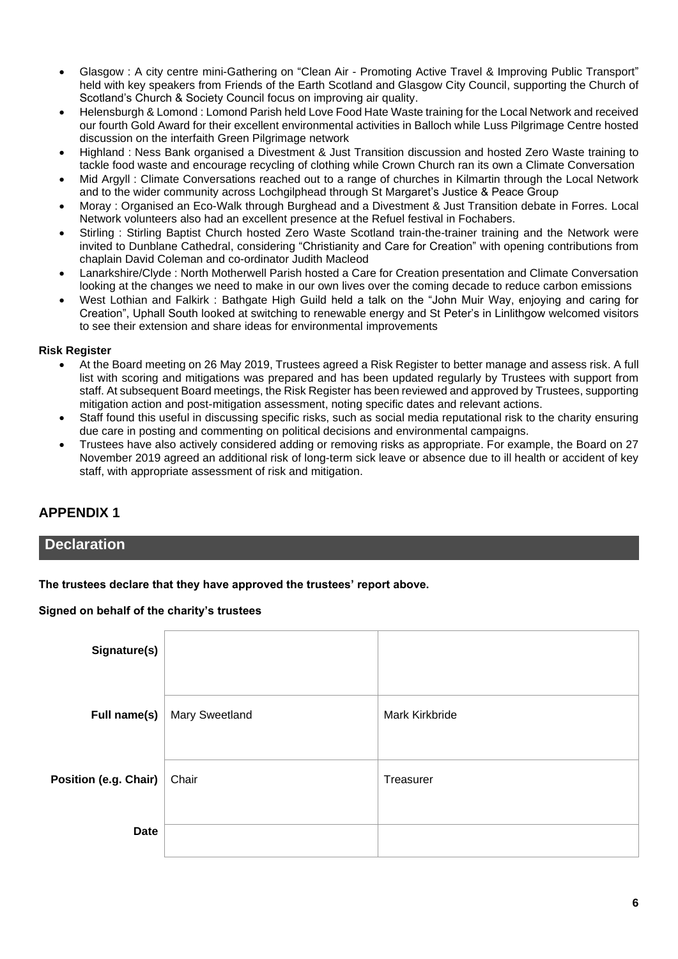- Glasgow : A city centre mini-Gathering on "Clean Air Promoting Active Travel & Improving Public Transport" held with key speakers from Friends of the Earth Scotland and Glasgow City Council, supporting the Church of Scotland's Church & Society Council focus on improving air quality.
- Helensburgh & Lomond : Lomond Parish held Love Food Hate Waste training for the Local Network and received our fourth Gold Award for their excellent environmental activities in Balloch while Luss Pilgrimage Centre hosted discussion on the interfaith Green Pilgrimage network
- Highland : Ness Bank organised a Divestment & Just Transition discussion and hosted Zero Waste training to tackle food waste and encourage recycling of clothing while Crown Church ran its own a Climate Conversation
- Mid Argyll : Climate Conversations reached out to a range of churches in Kilmartin through the Local Network and to the wider community across Lochgilphead through St Margaret's Justice & Peace Group
- Moray : Organised an Eco-Walk through Burghead and a Divestment & Just Transition debate in Forres. Local Network volunteers also had an excellent presence at the Refuel festival in Fochabers.
- Stirling : Stirling Baptist Church hosted Zero Waste Scotland train-the-trainer training and the Network were invited to Dunblane Cathedral, considering "Christianity and Care for Creation" with opening contributions from chaplain David Coleman and co-ordinator Judith Macleod
- Lanarkshire/Clyde : North Motherwell Parish hosted a Care for Creation presentation and Climate Conversation looking at the changes we need to make in our own lives over the coming decade to reduce carbon emissions
- West Lothian and Falkirk : Bathgate High Guild held a talk on the "John Muir Way, enjoying and caring for Creation", Uphall South looked at switching to renewable energy and St Peter's in Linlithgow welcomed visitors to see their extension and share ideas for environmental improvements

## **Risk Register**

- At the Board meeting on 26 May 2019, Trustees agreed a Risk Register to better manage and assess risk. A full list with scoring and mitigations was prepared and has been updated regularly by Trustees with support from staff. At subsequent Board meetings, the Risk Register has been reviewed and approved by Trustees, supporting mitigation action and post-mitigation assessment, noting specific dates and relevant actions.
- Staff found this useful in discussing specific risks, such as social media reputational risk to the charity ensuring due care in posting and commenting on political decisions and environmental campaigns.
- Trustees have also actively considered adding or removing risks as appropriate. For example, the Board on 27 November 2019 agreed an additional risk of long-term sick leave or absence due to ill health or accident of key staff, with appropriate assessment of risk and mitigation.

# **APPENDIX 1**

## **Declaration**

**The trustees declare that they have approved the trustees' report above.** 

## **Signed on behalf of the charity's trustees**

| Signature(s)          |                |                       |
|-----------------------|----------------|-----------------------|
| Full name(s)          | Mary Sweetland | <b>Mark Kirkbride</b> |
| Position (e.g. Chair) | Chair          | Treasurer             |
| <b>Date</b>           |                |                       |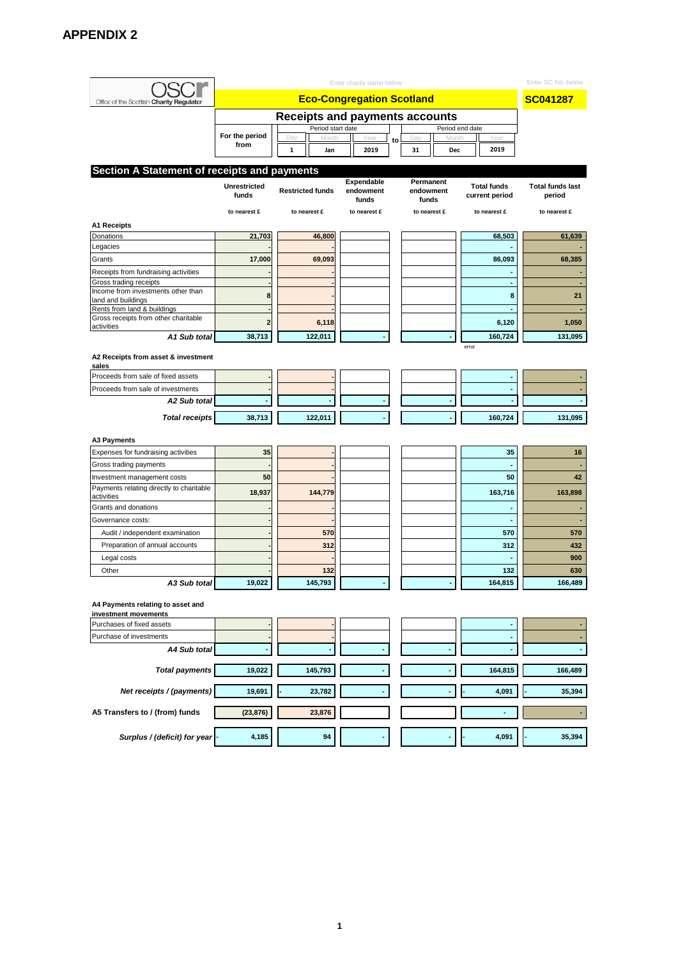|                                                           |                     | Enter SC No. below                    |                    |           |                    |                    |                         |  |  |  |
|-----------------------------------------------------------|---------------------|---------------------------------------|--------------------|-----------|--------------------|--------------------|-------------------------|--|--|--|
| Office of the Scottish Charity Regulator                  |                     | <b>Eco-Congregation Scotland</b>      |                    |           |                    |                    |                         |  |  |  |
|                                                           |                     | <b>Receipts and payments accounts</b> |                    |           |                    |                    |                         |  |  |  |
|                                                           | For the period      | Period start date                     |                    |           |                    | Period end date    |                         |  |  |  |
|                                                           | from                | Day                                   | Year               | Day<br>to |                    | Year               |                         |  |  |  |
|                                                           |                     | 1<br>Jan                              | 2019               | 31        | Dec                | 2019               |                         |  |  |  |
| Section A Statement of receipts and payments              |                     |                                       |                    |           |                    |                    |                         |  |  |  |
|                                                           | <b>Unrestricted</b> |                                       | Expendable         |           | Permanent          | <b>Total funds</b> | <b>Total funds last</b> |  |  |  |
|                                                           | funds               | <b>Restricted funds</b>               | endowment<br>funds |           | endowment<br>funds | current period     | period                  |  |  |  |
|                                                           | to nearest £        | to nearest £                          | to nearest £       |           | to nearest £       | to nearest £       | to nearest £            |  |  |  |
| <b>A1 Receipts</b>                                        |                     |                                       |                    |           |                    |                    |                         |  |  |  |
| Donations                                                 | 21,703              | 46,800                                |                    |           |                    | 68,503             | 61,639                  |  |  |  |
| Legacies                                                  |                     |                                       |                    |           |                    |                    |                         |  |  |  |
| Grants                                                    | 17,000              | 69,093                                |                    |           |                    | 86,093             | 68,385                  |  |  |  |
| Receipts from fundraising activities                      |                     |                                       |                    |           |                    |                    |                         |  |  |  |
| Gross trading receipts                                    |                     |                                       |                    |           |                    | ٠                  |                         |  |  |  |
| Income from investments other than<br>land and buildings  | 8                   |                                       |                    |           |                    | 8                  | 21                      |  |  |  |
| Rents from land & buildings                               |                     |                                       |                    |           |                    |                    |                         |  |  |  |
| Gross receipts from other charitable<br>activities        | 2                   | 6,118                                 |                    |           |                    | 6,120              | 1,050                   |  |  |  |
| A1 Sub total                                              | 38,713              | 122,011                               |                    |           |                    | 160,724            | 131,095                 |  |  |  |
| A2 Receipts from asset & investment                       |                     |                                       |                    |           |                    | error              |                         |  |  |  |
| sales                                                     |                     |                                       |                    |           |                    |                    |                         |  |  |  |
| Proceeds from sale of fixed assets                        |                     |                                       |                    |           |                    |                    |                         |  |  |  |
| Proceeds from sale of investments                         |                     |                                       |                    |           |                    |                    |                         |  |  |  |
| A2 Sub total                                              |                     |                                       |                    |           |                    |                    |                         |  |  |  |
| <b>Total receipts</b>                                     | 38,713              | 122,011                               |                    |           |                    | 160,724            | 131,095                 |  |  |  |
| A3 Payments                                               |                     |                                       |                    |           |                    |                    |                         |  |  |  |
| Expenses for fundraising activities                       | 35                  |                                       |                    |           |                    | 35                 | 16                      |  |  |  |
| Gross trading payments                                    |                     |                                       |                    |           |                    |                    |                         |  |  |  |
| Investment management costs                               | 50                  |                                       |                    |           |                    | 50                 | 42                      |  |  |  |
| Payments relating directly to charitable                  |                     |                                       |                    |           |                    |                    |                         |  |  |  |
| activities                                                | 18,937              | 144,779                               |                    |           |                    | 163,716            | 163,898                 |  |  |  |
| Grants and donations                                      |                     |                                       |                    |           |                    |                    |                         |  |  |  |
| Governance costs:                                         |                     |                                       |                    |           |                    |                    |                         |  |  |  |
| Audit / independent examination                           |                     | 570                                   |                    |           |                    | 570                | 570                     |  |  |  |
| Preparation of annual accounts                            |                     | 312                                   |                    |           |                    | 312                | 432                     |  |  |  |
| Legal costs                                               |                     |                                       |                    |           |                    |                    | 900                     |  |  |  |
| Other                                                     |                     | 132                                   |                    |           |                    | 132                | 630                     |  |  |  |
| A3 Sub total                                              | 19,022              | 145,793                               |                    |           |                    | 164,815            | 166,489                 |  |  |  |
| A4 Payments relating to asset and<br>investment movements |                     |                                       |                    |           |                    |                    |                         |  |  |  |
| Purchases of fixed assets                                 |                     |                                       |                    |           |                    |                    |                         |  |  |  |
| Purchase of investments                                   |                     |                                       |                    |           |                    |                    |                         |  |  |  |
| A4 Sub total                                              |                     |                                       |                    |           |                    |                    |                         |  |  |  |
|                                                           |                     |                                       |                    |           |                    |                    |                         |  |  |  |
| <b>Total payments</b>                                     | 19,022              | 145,793                               |                    |           |                    | 164,815            | 166,489                 |  |  |  |
| Net receipts / (payments)                                 | 19,691              | 23,782                                |                    |           |                    | 4,091              | 35,394                  |  |  |  |
| A5 Transfers to / (from) funds                            | (23, 876)           | 23,876                                |                    |           |                    | ٠                  |                         |  |  |  |
| Surplus / (deficit) for year                              | 4,185               | 94                                    |                    |           |                    | 4,091              | 35,394                  |  |  |  |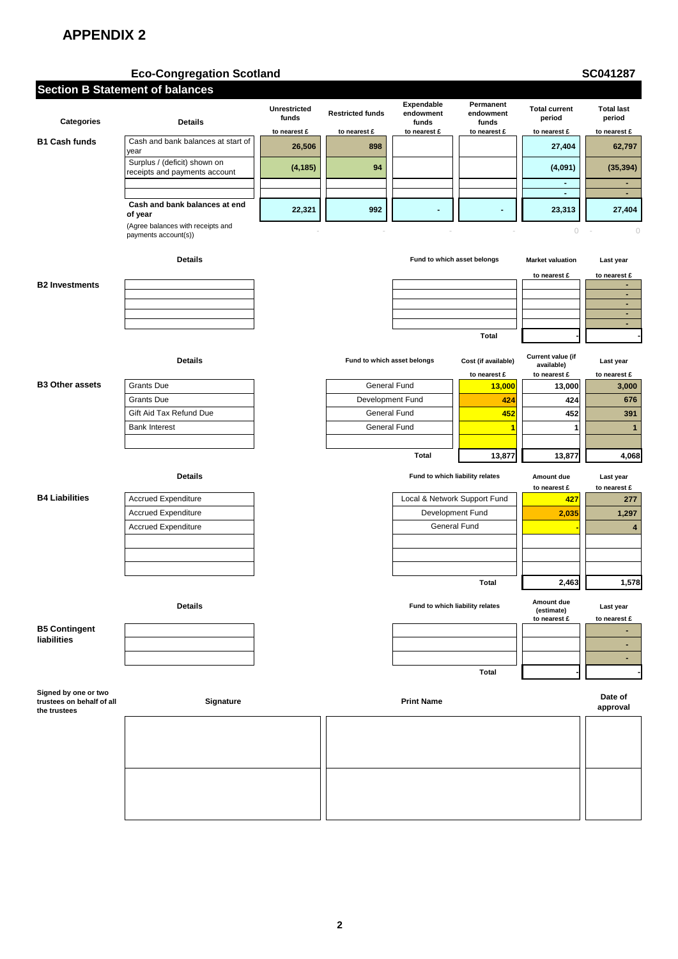# **Eco-Congregation Scotland CONSERVING SCOTTER SCOTTER SCOTTER SCOTTER SCOTTER SCOTTER SCOTTER SCOTTER SCOTTER SCOTTER SCOTTER SCOTTER SCOTTER SCOTTER SCOTTER SCOTTER SCOTTER SCOTTER SCOTTER SCOTTER SCOTTER SCOTTER SCOTTE**

| <b>Section B Statement of balances</b>                            |                                                               |                              |                             |                                  |                                     |                                                 |                                  |
|-------------------------------------------------------------------|---------------------------------------------------------------|------------------------------|-----------------------------|----------------------------------|-------------------------------------|-------------------------------------------------|----------------------------------|
| <b>Categories</b>                                                 | <b>Details</b>                                                | <b>Unrestricted</b><br>funds | <b>Restricted funds</b>     | Expendable<br>endowment<br>funds | Permanent<br>endowment<br>funds     | <b>Total current</b><br>period                  | <b>Total last</b><br>period      |
|                                                                   |                                                               | to nearest £                 | to nearest £                | to nearest £                     | to nearest £                        | to nearest £                                    | to nearest £                     |
| <b>B1 Cash funds</b>                                              | Cash and bank balances at start of<br>year                    | 26,506                       | 898                         |                                  |                                     | 27,404                                          | 62,797                           |
|                                                                   | Surplus / (deficit) shown on<br>receipts and payments account | (4, 185)                     | 94                          |                                  |                                     | (4,091)                                         | (35, 394)                        |
|                                                                   |                                                               |                              |                             |                                  |                                     | $\blacksquare$<br>$\blacksquare$                | ٠<br>$\blacksquare$              |
|                                                                   | Cash and bank balances at end<br>of year                      | 22,321                       | 992                         |                                  |                                     | 23,313                                          | 27,404                           |
|                                                                   | (Agree balances with receipts and<br>payments account(s))     |                              |                             |                                  |                                     | $\bigcirc$                                      | $\circ$                          |
|                                                                   | <b>Details</b>                                                |                              |                             | Fund to which asset belongs      |                                     | <b>Market valuation</b>                         | Last year                        |
|                                                                   |                                                               |                              |                             |                                  |                                     | to nearest £                                    | to nearest £                     |
| <b>B2 Investments</b>                                             |                                                               |                              |                             |                                  |                                     |                                                 | ٠<br>$\blacksquare$              |
|                                                                   |                                                               |                              |                             |                                  |                                     |                                                 | ٠                                |
|                                                                   |                                                               |                              |                             |                                  |                                     |                                                 | $\blacksquare$<br>$\blacksquare$ |
|                                                                   |                                                               |                              |                             |                                  | <b>Total</b>                        |                                                 |                                  |
|                                                                   |                                                               |                              |                             |                                  |                                     |                                                 |                                  |
|                                                                   | <b>Details</b>                                                |                              | Fund to which asset belongs |                                  | Cost (if available)<br>to nearest £ | Current value (if<br>available)<br>to nearest £ | Last year<br>to nearest £        |
| <b>B3 Other assets</b>                                            | <b>Grants Due</b>                                             |                              | General Fund                |                                  | 13,000                              | 13,000                                          | 3,000                            |
|                                                                   | Grants Due                                                    |                              | Development Fund            |                                  | 424                                 | 424                                             | 676                              |
|                                                                   | Gift Aid Tax Refund Due                                       |                              | General Fund                |                                  | 452                                 | 452                                             | 391                              |
|                                                                   | <b>Bank Interest</b>                                          |                              | General Fund                |                                  | 1                                   | 1                                               | $\mathbf{1}$                     |
|                                                                   |                                                               |                              |                             |                                  |                                     |                                                 |                                  |
|                                                                   |                                                               |                              |                             | Total                            | 13,877                              | 13,877                                          | 4,068                            |
|                                                                   | <b>Details</b>                                                |                              |                             | Fund to which liability relates  |                                     | Amount due<br>to nearest £                      | Last year<br>to nearest £        |
| <b>B4 Liabilities</b>                                             | <b>Accrued Expenditure</b>                                    |                              |                             | Local & Network Support Fund     |                                     | 427                                             | 277                              |
|                                                                   | <b>Accrued Expenditure</b>                                    |                              |                             | Development Fund                 |                                     | 2,035                                           | 1,297                            |
|                                                                   | <b>Accrued Expenditure</b>                                    |                              |                             | General Fund                     |                                     |                                                 | $\overline{\mathbf{4}}$          |
|                                                                   |                                                               |                              |                             |                                  |                                     |                                                 |                                  |
|                                                                   |                                                               |                              |                             |                                  |                                     |                                                 |                                  |
|                                                                   |                                                               |                              |                             |                                  |                                     |                                                 |                                  |
|                                                                   |                                                               |                              |                             |                                  | <b>Total</b>                        | 2,463                                           | 1,578                            |
|                                                                   | <b>Details</b>                                                |                              |                             | Fund to which liability relates  |                                     | Amount due<br>(estimate)<br>to nearest £        | Last year<br>to nearest £        |
| <b>B5 Contingent</b><br><b>liabilities</b>                        |                                                               |                              |                             |                                  |                                     |                                                 |                                  |
|                                                                   |                                                               |                              |                             |                                  |                                     |                                                 | ٠                                |
|                                                                   |                                                               |                              |                             |                                  |                                     |                                                 | $\blacksquare$                   |
|                                                                   |                                                               |                              |                             |                                  | Total                               |                                                 |                                  |
| Signed by one or two<br>trustees on behalf of all<br>the trustees | Signature                                                     |                              |                             | <b>Print Name</b>                |                                     |                                                 | Date of<br>approval              |
|                                                                   |                                                               |                              |                             |                                  |                                     |                                                 |                                  |
|                                                                   |                                                               |                              |                             |                                  |                                     |                                                 |                                  |
|                                                                   |                                                               |                              |                             |                                  |                                     |                                                 |                                  |
|                                                                   |                                                               |                              |                             |                                  |                                     |                                                 |                                  |
|                                                                   |                                                               |                              |                             |                                  |                                     |                                                 |                                  |
|                                                                   |                                                               |                              |                             |                                  |                                     |                                                 |                                  |
|                                                                   |                                                               |                              |                             |                                  |                                     |                                                 |                                  |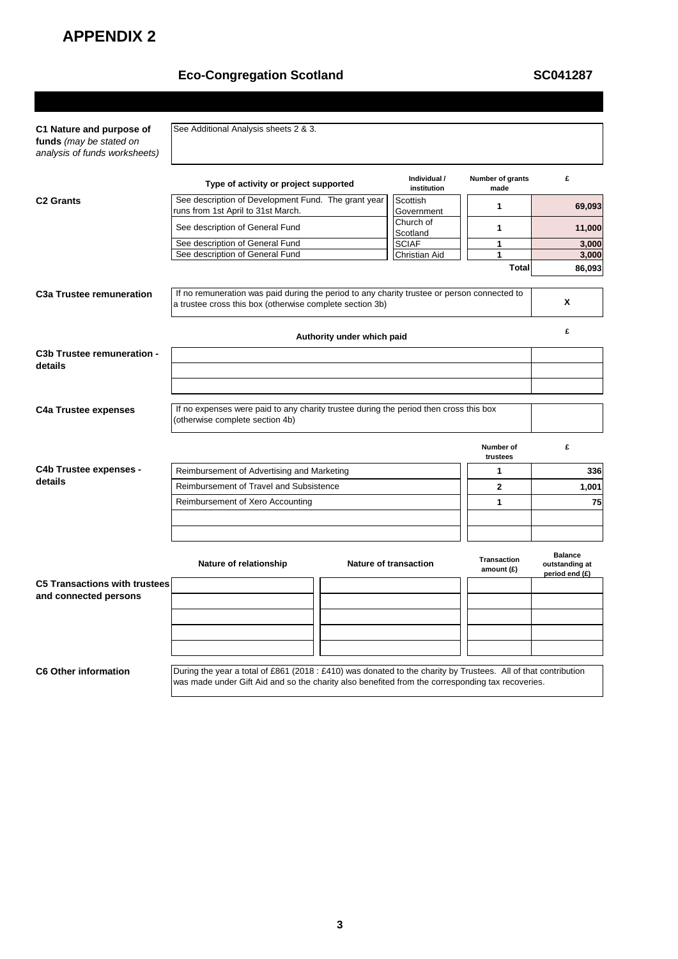# Eco-Congregation Scotland<br>
SC041287

| C1 Nature and purpose of<br>funds (may be stated on<br>analysis of funds worksheets) | See Additional Analysis sheets 2 & 3.                                                                                                                                                                              |                            |                              |                                    |                                                    |  |
|--------------------------------------------------------------------------------------|--------------------------------------------------------------------------------------------------------------------------------------------------------------------------------------------------------------------|----------------------------|------------------------------|------------------------------------|----------------------------------------------------|--|
|                                                                                      | Type of activity or project supported                                                                                                                                                                              |                            | Individual /<br>institution  | Number of grants<br>made           | £                                                  |  |
| <b>C<sub>2</sub></b> Grants                                                          | See description of Development Fund. The grant year<br>runs from 1st April to 31st March.                                                                                                                          |                            | Scottish<br>Government       | 1                                  | 69,093                                             |  |
|                                                                                      | See description of General Fund                                                                                                                                                                                    |                            | Church of<br>Scotland        | $\mathbf{1}$                       | 11,000                                             |  |
|                                                                                      | See description of General Fund                                                                                                                                                                                    |                            | <b>SCIAF</b>                 | 1                                  | 3,000                                              |  |
|                                                                                      | See description of General Fund                                                                                                                                                                                    |                            | Christian Aid                | 1                                  | 3,000                                              |  |
|                                                                                      |                                                                                                                                                                                                                    |                            |                              | <b>Total</b>                       | 86,093                                             |  |
| C <sub>3</sub> a Trustee remuneration                                                | If no remuneration was paid during the period to any charity trustee or person connected to<br>a trustee cross this box (otherwise complete section 3b)                                                            |                            |                              |                                    | X                                                  |  |
|                                                                                      |                                                                                                                                                                                                                    | Authority under which paid |                              |                                    | £                                                  |  |
| C3b Trustee remuneration -<br>details                                                |                                                                                                                                                                                                                    |                            |                              |                                    |                                                    |  |
|                                                                                      |                                                                                                                                                                                                                    |                            |                              |                                    |                                                    |  |
| <b>C4a Trustee expenses</b>                                                          | If no expenses were paid to any charity trustee during the period then cross this box<br>(otherwise complete section 4b)                                                                                           |                            |                              |                                    |                                                    |  |
|                                                                                      |                                                                                                                                                                                                                    |                            |                              | Number of<br>trustees              | £                                                  |  |
| C4b Trustee expenses -                                                               | Reimbursement of Advertising and Marketing                                                                                                                                                                         | 336                        |                              |                                    |                                                    |  |
| details                                                                              | Reimbursement of Travel and Subsistence                                                                                                                                                                            | 1,001                      |                              |                                    |                                                    |  |
|                                                                                      | Reimbursement of Xero Accounting<br>1                                                                                                                                                                              |                            |                              |                                    |                                                    |  |
|                                                                                      |                                                                                                                                                                                                                    |                            |                              |                                    |                                                    |  |
|                                                                                      | Nature of relationship                                                                                                                                                                                             |                            | <b>Nature of transaction</b> | <b>Transaction</b><br>amount $(E)$ | <b>Balance</b><br>outstanding at<br>period end (£) |  |
| <b>C5 Transactions with trustees</b>                                                 |                                                                                                                                                                                                                    |                            |                              |                                    |                                                    |  |
| and connected persons                                                                |                                                                                                                                                                                                                    |                            |                              |                                    |                                                    |  |
|                                                                                      |                                                                                                                                                                                                                    |                            |                              |                                    |                                                    |  |
|                                                                                      |                                                                                                                                                                                                                    |                            |                              |                                    |                                                    |  |
|                                                                                      |                                                                                                                                                                                                                    |                            |                              |                                    |                                                    |  |
|                                                                                      |                                                                                                                                                                                                                    |                            |                              |                                    |                                                    |  |
| <b>C6 Other information</b>                                                          | During the year a total of £861 (2018 : £410) was donated to the charity by Trustees. All of that contribution<br>was made under Gift Aid and so the charity also benefited from the corresponding tax recoveries. |                            |                              |                                    |                                                    |  |
|                                                                                      |                                                                                                                                                                                                                    |                            |                              |                                    |                                                    |  |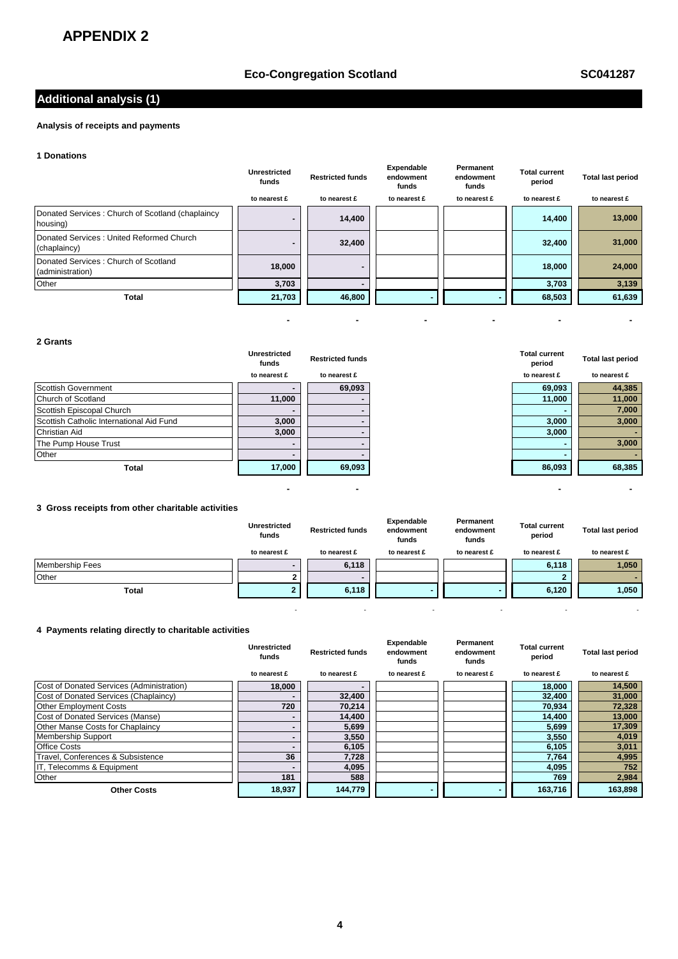## **Eco-Congregation Scotland SC041287**

# **Additional analysis (1)**

### **Analysis of receipts and payments**

#### **1 Donations**

|                                                              | Unrestricted<br>funds | <b>Restricted funds</b> | Expendable<br>endowment<br>funds | Permanent<br>endowment<br>funds | <b>Total current</b><br>period | <b>Total last period</b> |
|--------------------------------------------------------------|-----------------------|-------------------------|----------------------------------|---------------------------------|--------------------------------|--------------------------|
|                                                              | to nearest £          | to nearest £            | to nearest £                     | to nearest £                    | to nearest £                   | to nearest £             |
| Donated Services: Church of Scotland (chaplaincy<br>housing) |                       | 14,400                  |                                  |                                 | 14,400                         | 13,000                   |
| Donated Services: United Reformed Church<br>(chaplaincy)     |                       | 32,400                  |                                  |                                 | 32,400                         | 31,000                   |
| Donated Services: Church of Scotland<br>(administration)     | 18,000                | ۰                       |                                  |                                 | 18,000                         | 24,000                   |
| Other                                                        | 3,703                 |                         |                                  |                                 | 3,703                          | 3,139                    |
| <b>Total</b>                                                 | 21,703                | 46,800                  |                                  |                                 | 68,503                         | 61,639                   |

 **- - - - - -** 

 **- - - -** 

- - - - - -

#### **2 Grants**

|                                          | <b>Unrestricted</b><br>funds | <b>Restricted funds</b> | <b>Total current</b><br>period | <b>Total last period</b> |
|------------------------------------------|------------------------------|-------------------------|--------------------------------|--------------------------|
|                                          | to nearest £                 | to nearest £            | to nearest £                   | to nearest £             |
| Scottish Government                      |                              | 69,093                  | 69,093                         | 44,385                   |
| Church of Scotland                       | 11,000                       |                         | 11,000                         | 11,000                   |
| Scottish Episcopal Church                |                              |                         |                                | 7,000                    |
| Scottish Catholic International Aid Fund | 3,000                        |                         | 3,000                          | 3,000                    |
| <b>Christian Aid</b>                     | 3,000                        |                         | 3,000                          |                          |
| The Pump House Trust                     |                              |                         |                                | 3,000                    |
| Other                                    |                              |                         |                                |                          |
| <b>Total</b>                             | 17,000                       | 69,093                  | 86,093                         | 68,385                   |

#### **3 Gross receipts from other charitable activities**

|                 | Unrestricted<br>funds | <b>Restricted funds</b> | Expendable<br>endowment<br>funds | Permanent<br>endowment<br>funds | <b>Total current</b><br>period | <b>Total last period</b> |
|-----------------|-----------------------|-------------------------|----------------------------------|---------------------------------|--------------------------------|--------------------------|
|                 | to nearest £          | to nearest £            | to nearest £                     | to nearest £                    | to nearest £                   | to nearest £             |
| Membership Fees |                       | 6,118                   |                                  |                                 | 6,118                          | 1,050                    |
| Other           | ◠                     | -                       |                                  |                                 |                                |                          |
| Total           |                       | 6,118                   |                                  |                                 | 6,120                          | 1,050                    |

#### **4 Payments relating directly to charitable activities**

|                                           | <b>Unrestricted</b><br>funds | <b>Restricted funds</b> | Expendable<br>endowment<br>funds | Permanent<br>endowment<br>funds | Total current<br>period | <b>Total last period</b> |
|-------------------------------------------|------------------------------|-------------------------|----------------------------------|---------------------------------|-------------------------|--------------------------|
|                                           | to nearest £                 | to nearest £            | to nearest £                     | to nearest £                    | to nearest £            | to nearest £             |
| Cost of Donated Services (Administration) | 18,000                       |                         |                                  |                                 | 18,000                  | 14,500                   |
| Cost of Donated Services (Chaplaincy)     |                              | 32,400                  |                                  |                                 | 32,400                  | 31,000                   |
| <b>Other Employment Costs</b>             | 720                          | 70,214                  |                                  |                                 | 70,934                  | 72,328                   |
| Cost of Donated Services (Manse)          |                              | 14,400                  |                                  |                                 | 14,400                  | 13,000                   |
| Other Manse Costs for Chaplaincy          |                              | 5,699                   |                                  |                                 | 5,699                   | 17,309                   |
| <b>Membership Support</b>                 |                              | 3,550                   |                                  |                                 | 3,550                   | 4,019                    |
| <b>Office Costs</b>                       |                              | 6,105                   |                                  |                                 | 6,105                   | 3,011                    |
| Travel, Conferences & Subsistence         | 36                           | 7,728                   |                                  |                                 | 7,764                   | 4,995                    |
| IT, Telecomms & Equipment                 |                              | 4,095                   |                                  |                                 | 4,095                   | 752                      |
| Other                                     | 181                          | 588                     |                                  |                                 | 769                     | 2,984                    |
| <b>Other Costs</b>                        | 18,937                       | 144,779                 |                                  |                                 | 163,716                 | 163,898                  |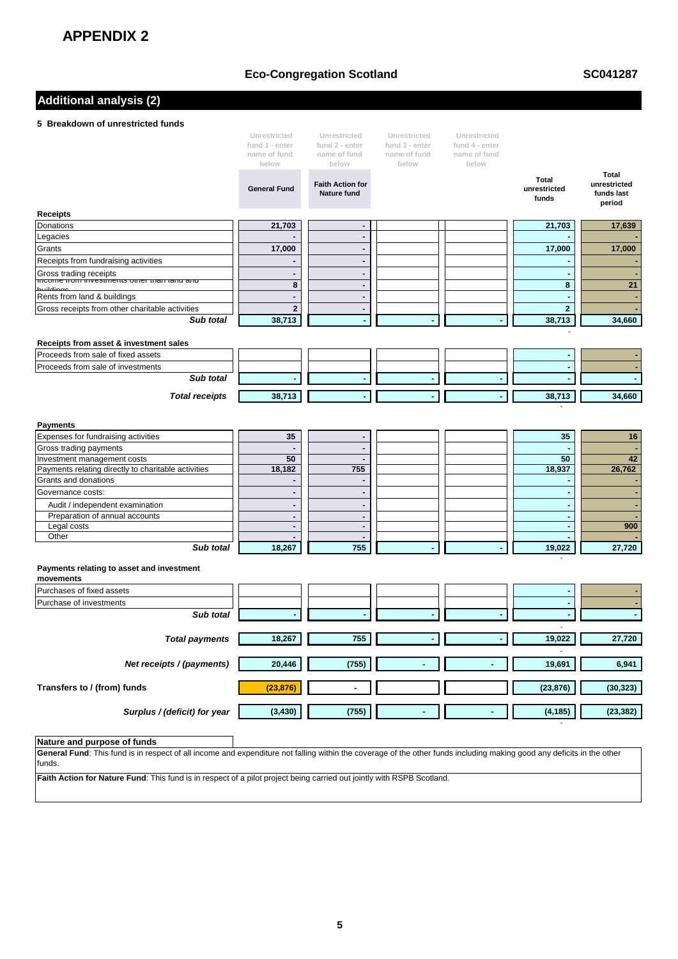## **Eco-Congregation Scotland**

**SC041287**

## **Additional analysis (2)**

#### **5 Breakdown of unrestricted funds**

|                                                                                    | Unrestricted                   | Unrestricted                                  | Unrestricted                   | Unrestricted                   |                                       |                                      |
|------------------------------------------------------------------------------------|--------------------------------|-----------------------------------------------|--------------------------------|--------------------------------|---------------------------------------|--------------------------------------|
|                                                                                    | fund 1 - enter<br>name of fund | fund 2 - enter<br>name of fund                | fund 3 - enter<br>name of fund | fund 4 - enter<br>name of fund |                                       |                                      |
|                                                                                    | below                          | below                                         | below                          | below                          |                                       |                                      |
|                                                                                    |                                |                                               |                                |                                |                                       | <b>Total</b>                         |
|                                                                                    | <b>General Fund</b>            | <b>Faith Action for</b><br><b>Nature fund</b> |                                |                                | <b>Total</b><br>unrestricted<br>funds | unrestricted<br>funds last<br>period |
| <b>Receipts</b>                                                                    |                                |                                               |                                |                                |                                       |                                      |
| Donations                                                                          | 21,703                         | $\overline{\phantom{a}}$                      |                                |                                | 21,703                                | 17,639                               |
| Legacies                                                                           |                                | $\blacksquare$                                |                                |                                |                                       |                                      |
| Grants                                                                             | 17,000                         | $\blacksquare$                                |                                |                                | 17,000                                | 17,000                               |
| Receipts from fundraising activities                                               |                                | $\blacksquare$                                |                                |                                |                                       |                                      |
| Gross trading receipts                                                             | $\blacksquare$                 | $\blacksquare$                                |                                |                                |                                       |                                      |
| income nominvestments other than rand and                                          | 8                              | $\blacksquare$                                |                                |                                | 8                                     | 21                                   |
| Rents from land & buildings                                                        | $\blacksquare$                 | $\blacksquare$                                |                                |                                | ÷.                                    |                                      |
| Gross receipts from other charitable activities                                    | $\overline{2}$                 | $\overline{a}$                                |                                |                                | $\overline{2}$                        |                                      |
| Sub total                                                                          | 38,713                         | ÷.                                            |                                |                                | 38,713                                | 34,660                               |
|                                                                                    |                                |                                               |                                |                                |                                       |                                      |
| Receipts from asset & investment sales                                             |                                |                                               |                                |                                |                                       |                                      |
| Proceeds from sale of fixed assets                                                 |                                |                                               |                                |                                | $\sim$                                |                                      |
| Proceeds from sale of investments                                                  |                                |                                               |                                |                                | ٠                                     |                                      |
| Sub total                                                                          |                                |                                               |                                |                                |                                       |                                      |
| <b>Total receipts</b>                                                              | 38,713                         |                                               |                                |                                | 38,713                                | 34,660                               |
|                                                                                    |                                |                                               |                                |                                |                                       |                                      |
|                                                                                    |                                |                                               |                                |                                |                                       |                                      |
| <b>Payments</b>                                                                    |                                |                                               |                                |                                |                                       |                                      |
| Expenses for fundraising activities                                                | 35                             | $\overline{\phantom{a}}$                      |                                |                                | 35                                    | 16                                   |
| Gross trading payments                                                             |                                | $\overline{\phantom{a}}$                      |                                |                                |                                       |                                      |
| Investment management costs<br>Payments relating directly to charitable activities | 50<br>18,182                   | $\blacksquare$<br>755                         |                                |                                | 50                                    | 42<br>26,762                         |
| Grants and donations                                                               |                                | $\blacksquare$                                |                                |                                | 18,937                                |                                      |
| Governance costs:                                                                  | $\blacksquare$                 | $\blacksquare$                                |                                |                                | $\overline{\phantom{a}}$              |                                      |
|                                                                                    | $\overline{a}$                 | $\blacksquare$                                |                                |                                | ÷.                                    |                                      |
| Audit / independent examination<br>Preparation of annual accounts                  | $\overline{a}$                 | $\overline{\phantom{a}}$                      |                                |                                | ÷.                                    |                                      |
| Legal costs                                                                        | $\blacksquare$                 | $\blacksquare$                                |                                |                                | $\blacksquare$                        | 900                                  |
| Other                                                                              | $\overline{a}$                 | $\blacksquare$                                |                                |                                | $\sim$                                |                                      |
| Sub total                                                                          | 18,267                         | 755                                           |                                |                                | 19,022                                | 27,720                               |
|                                                                                    |                                |                                               |                                |                                |                                       |                                      |
| Payments relating to asset and investment<br>movements                             |                                |                                               |                                |                                |                                       |                                      |
| Purchases of fixed assets                                                          |                                |                                               |                                |                                |                                       |                                      |
| Purchase of investments                                                            |                                |                                               |                                |                                |                                       |                                      |
| Sub total                                                                          |                                |                                               |                                |                                |                                       |                                      |
|                                                                                    |                                |                                               |                                |                                |                                       |                                      |
| <b>Total payments</b>                                                              | 18,267                         | 755                                           |                                |                                | 19,022                                | 27,720                               |
|                                                                                    |                                |                                               |                                |                                |                                       |                                      |
| Net receipts / (payments)                                                          | 20,446                         | (755)                                         |                                |                                | 19,691                                | 6,941                                |
|                                                                                    |                                |                                               |                                |                                |                                       |                                      |
| Transfers to / (from) funds                                                        | (23, 876)                      | $\overline{\phantom{a}}$                      |                                |                                | (23, 876)                             | (30, 323)                            |
|                                                                                    |                                |                                               |                                |                                |                                       |                                      |
| Surplus / (deficit) for year                                                       | (3, 430)                       | (755)                                         |                                |                                | (4, 185)                              | (23, 382)                            |
|                                                                                    |                                |                                               |                                |                                |                                       |                                      |

#### **Nature and purpose of funds**

**General Fund**: This fund is in respect of all income and expenditure not falling within the coverage of the other funds including making good any deficits in the other funds.

**Faith Action for Nature Fund**: This fund is in respect of a pilot project being carried out jointly with RSPB Scotland.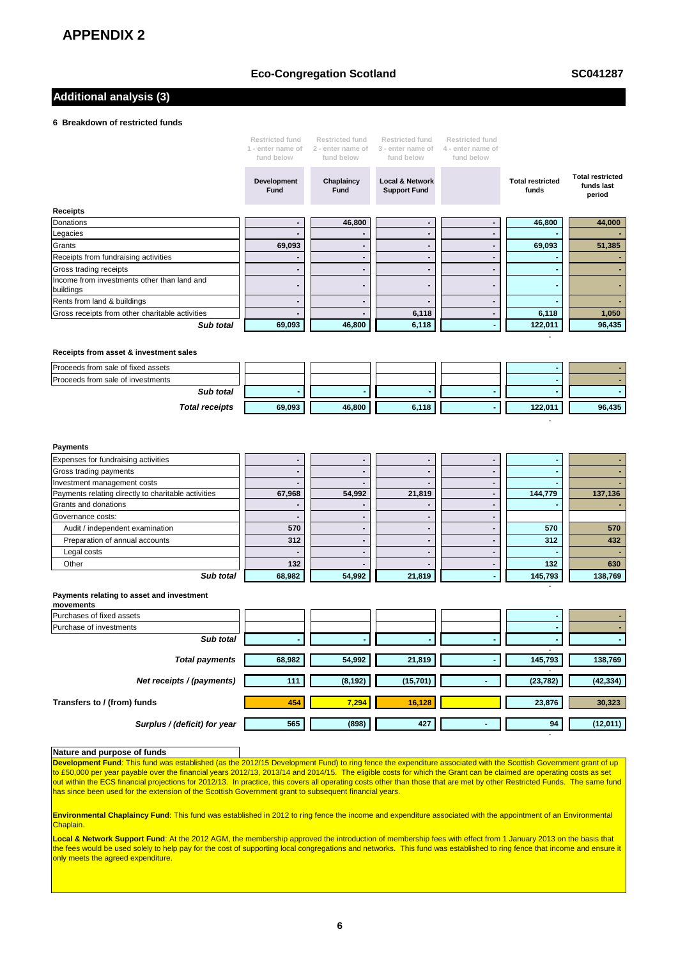#### **Eco-Congregation Scotland**

**SC041287**

-

- 1990 - 1990 - 1990 - 1990 - 1990 - 1990 - 1990 - 1990 - 1990 - 1990 - 1990 - 1990 - 1990 - 1990 - 1990 - 199

- 1990 - 1990 - 1990 - 1990 - 1990 - 1990 - 1990 - 1990 - 1990 - 1990 - 1990 - 1990 - 1990 - 1990 - 1990 - 199

## **Additional analysis (3)**

#### **6 Breakdown of restricted funds**

|                                                          | Restricted fund<br>1 - enter name of<br>fund below | <b>Restricted fund</b><br>2 - enter name of<br>fund below | Restricted fund<br>3 - enter name of<br>fund below | <b>Restricted fund</b><br>4 - enter name of<br>fund below |                                  |                                                 |
|----------------------------------------------------------|----------------------------------------------------|-----------------------------------------------------------|----------------------------------------------------|-----------------------------------------------------------|----------------------------------|-------------------------------------------------|
|                                                          | Development<br><b>Fund</b>                         | Chaplaincy<br><b>Fund</b>                                 | <b>Local &amp; Network</b><br><b>Support Fund</b>  |                                                           | <b>Total restricted</b><br>funds | <b>Total restricted</b><br>funds last<br>period |
| <b>Receipts</b>                                          |                                                    |                                                           |                                                    |                                                           |                                  |                                                 |
| Donations                                                | $\overline{\phantom{0}}$                           | 46,800                                                    | -                                                  |                                                           | 46,800                           | 44,000                                          |
| Legacies                                                 |                                                    |                                                           |                                                    |                                                           |                                  |                                                 |
| Grants                                                   | 69,093                                             |                                                           |                                                    |                                                           | 69,093                           | 51,385                                          |
| Receipts from fundraising activities                     | ٠                                                  | $\blacksquare$                                            | $\blacksquare$                                     | $\overline{\phantom{0}}$                                  |                                  |                                                 |
| Gross trading receipts                                   |                                                    | -                                                         | -                                                  | -                                                         |                                  |                                                 |
| Income from investments other than land and<br>buildings | -                                                  | -                                                         | -                                                  | -                                                         |                                  |                                                 |
| Rents from land & buildings                              | -                                                  |                                                           |                                                    | -                                                         |                                  |                                                 |
| Gross receipts from other charitable activities          |                                                    |                                                           | 6,118                                              |                                                           | 6,118                            | 1,050                                           |
| Sub total                                                | 69,093                                             | 46,800                                                    | 6,118                                              |                                                           | 122,011                          | 96,435                                          |
|                                                          |                                                    |                                                           |                                                    |                                                           |                                  |                                                 |

#### **Receipts from asset & investment sales**

| Proceeds from sale of fixed assets |        |        |       |         |        |
|------------------------------------|--------|--------|-------|---------|--------|
| Proceeds from sale of investments  |        |        |       |         |        |
| Sub total                          |        |        |       |         |        |
| <b>Total receipts</b>              | 69,093 | 46,800 | 6,118 | 122.011 | 96,435 |

| <b>Payments</b>                                     |                          |        |        |         |         |
|-----------------------------------------------------|--------------------------|--------|--------|---------|---------|
| Expenses for fundraising activities                 |                          |        |        |         |         |
| Gross trading payments                              |                          |        |        |         |         |
| Investment management costs                         | $\overline{\phantom{0}}$ |        |        |         |         |
| Payments relating directly to charitable activities | 67,968                   | 54,992 | 21,819 | 144,779 | 137,136 |
| Grants and donations                                | $\overline{\phantom{0}}$ |        |        |         |         |
| Governance costs:                                   |                          |        |        |         |         |
| Audit / independent examination                     | 570                      |        |        | 570     | 570     |
| Preparation of annual accounts                      | 312                      |        |        | 312     | 432     |
| Legal costs                                         | $\overline{\phantom{0}}$ |        |        |         |         |
| Other                                               | 132                      |        |        | 132     | 630     |
| Sub total                                           | 68,982                   | 54,992 | 21,819 | 145,793 | 138,769 |

#### **Payments relating to asset and investment**

| movements                    |        |          |           |                          |           |           |
|------------------------------|--------|----------|-----------|--------------------------|-----------|-----------|
| Purchases of fixed assets    |        |          |           |                          |           |           |
| Purchase of investments      |        |          |           |                          |           |           |
| Sub total                    |        |          |           |                          |           |           |
|                              |        |          |           |                          |           |           |
| <b>Total payments</b>        | 68,982 | 54,992   | 21,819    | $\overline{\phantom{a}}$ | 145,793   | 138,769   |
|                              |        |          |           |                          |           |           |
| Net receipts / (payments)    | 111    | (8, 192) | (15, 701) |                          | (23, 782) | (42, 334) |
|                              |        |          |           |                          |           |           |
| Transfers to / (from) funds  | 454    | 7,294    | 16,128    |                          | 23,876    | 30,323    |
|                              |        |          |           |                          |           |           |
| Surplus / (deficit) for year | 565    | (898)    | 427       | $\blacksquare$           | 94        | (12,011)  |

#### **Nature and purpose of funds**

**Development Fund**: This fund was established (as the 2012/15 Development Fund) to ring fence the expenditure associated with the Scottish Government grant of up to £50,000 per year payable over the financial years 2012/13, 2013/14 and 2014/15. The eligible costs for which the Grant can be claimed are operating costs as set out within the ECS financial projections for 2012/13. In practice, this covers all operating costs other than those that are met by other Restricted Funds. The same fund has since been used for the extension of the Scottish Government grant to subsequent financial years.

**Environmental Chaplaincy Fund**: This fund was established in 2012 to ring fence the income and expenditure associated with the appointment of an Environmental Chaplain.

**Local & Network Support Fund**: At the 2012 AGM, the membership approved the introduction of membership fees with effect from 1 January 2013 on the basis that the fees would be used solely to help pay for the cost of supporting local congregations and networks. This fund was established to ring fence that income and ensure it only meets the agreed expenditure.